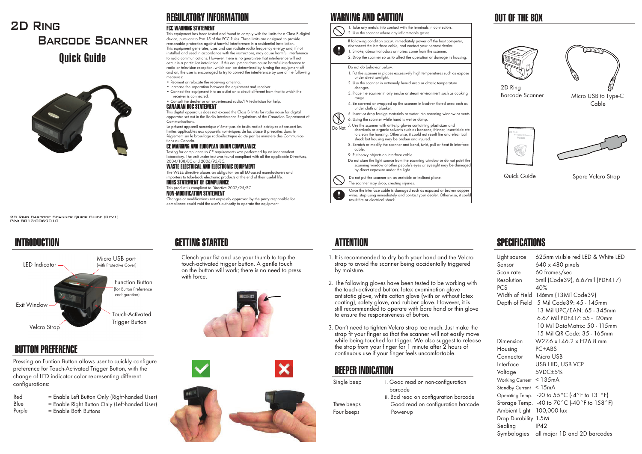



2D Ring Barcode Scanner Quick Guide (Rev1) P/N: 8013-0069010

# **INTRODUCTION**



# BUTTON PREFERENCE

Pressing on Funtion Button allows user to quickly configure preference for Touch-Activated Trigger Button, with the change of LED indicator color representing different configurations:

- RedBlue= Enable Left Button Only (Right-handed User)
	- = Enable Right Button Only (Left-handed User)  $=$  Engble Both Buttons
- Purple

# REGULATORY INFORMATION

## FCC WARNING STATEMENT

 This equipment has been tested and found to comply with the limits for a Class B digital device, pursuant to Part 15 of the FCC Rules. These limits are designed to provide reasonable protection against harmful interference in a residential installation. This equipment generates, uses and can radiate radio frequency energy and, if not installed and used in accordance with the instructions, may cause harmful interference to radio communications. However, there is no guarantee that interference will not occur in a particular installation. If this equipment does cause harmful interference to radio or television reception, which can be determined by turning the equipment off and on, the user is encouraged to try to correct the interference by one of the following measures:

- Reorient or relocate the receiving antenna.
- Increase the separation between the equipment and receiver.
- Connect the equipment into an outlet on a circuit different from that to which the receiver is connected.
- Consult the dealer or an experienced radio/TV technician for help. CANADIAN DOC STATEMENT

 This digital apparatus does not exceed the Class B limits for radio noise for digital apparatus set out in the Radio Interference Regulations of the Canadian Department of Communications.

Le présent appareil numérique n'émet pas de bruits radioélectriques dépassant les limites applicables aux appareils numériques de las classe B prescrites dans le Réglement sur le brouillage radioélectrique édicté par les ministère des Communications du Canada.

### CE MARKING AND EUROPEAN UNION COMPLIANCE

 Testing for compliance to CE requirements was performed by an independent laboratory. The unit under test was found compliant with all the applicable Directives, 2004/108/EC and 2006/95/EC.

### WASTE ELECTRICAL AND ELECTRONIC EQUIPMENT

The WEEE directive places an obligation on all EU-based manufacturers and importers to take-back electronic products at the end of their useful life. ROHS STATEMENT OF COMPLIANCE

## This product is compliant to Directive 2002/95/EC.

NON-MODIFICATION STATEMENT

Changes or modifications not expressly approved by the party responsible for compliance could void the user's authority to operate the equipment.



 Clench your fist and use your thumb to tap the touch-activated trigger button. A gentle touch on the button will work; there is no need to press





# WARNING AND CAUTION

1. Take any metals into contact with the terminals in connectors. 2. Use the scanner where any inflammable gases. If following condition occur, immediately power off the host computer, disconnect the interface cable, and contact your nearest dealer.



#### Do not do behavior below.

- 1. Put the scanner in places excessively high temperatures such as expose under direct sunlight.
- 2. Use the scanner in extremely humid area or drastic temperature changes.
- 3. Place the scanner in oily smoke or steam environment such as cooking range.
- 4. Be covered or wrapped up the scanner in bad-ventilated area such as under cloth or blanket.
- 5. Insert or drop foreign materials or water into scanning window or vents. 6. Using the scanner while hand is wet or damp.
- 
- Do Not 7. Use the scanner with anti-slip gloves containing plasticizer and<br>Do Not chamicals as arganic solvents such as benzone, thinner insect chemicals or organic solvents such as benzene, thinner, insecticide etc to clean the housing. Otherwise, it could not result fire and electrical shock but housing may be broken and injured.
	- 8. Scratch or modify the scanner and bend, twist, pull or heat its interface cable.
	- 9. Put heavy objects on interface cable.

Do not stare the light source from the scanning window or do not point the scanning window at other people's eyes or eyesight may be damaged by direct exposure under the light.

Do not put the scanner on an unstable or inclined plane. The scanner may drop, creating injuries.

Once the interface cable is damaged such as exposed or broken copper wires, stop using immediately and contact your dealer. Otherwise, it could result fire or electrical shock.

- 1. It is recommended to dry both your hand and the Velcro strap to avoid the scanner being accidentally triggered by moisture.
- 2. The following gloves have been tested to be working with the touch-activated button: latex examination glove antistatic glove, white cotton glove (with or without latex coating), safety glove, and rubber glove. However, it is still recommended to operate with bare hand or thin glove to ensure the responsiveness of button.
- 3. Don't need to tighten Velcro strap too much. Just make the strap fit your finger so that the scanner will not easily move while being touched for trigger. We also suggest to release the strap from your finger for 1 minute after 2 hours of continuous use if your finger feels uncomfortable.

# BEEPER INDICATION

| Single beep | i. Good read on non-configuration     |
|-------------|---------------------------------------|
|             | barcode                               |
|             | ii. Bad read on configuration barcode |
| Three beeps | Good read on configuration barcode    |
| Four beeps  | Power-up                              |
|             |                                       |

# IIIT OF THF ROX





2D Ring Barcode Scanner







Quick Guide

Spare Velcro Strap

# GETTING STARTED ATTENTION ATTENTION ATTENTION SPECIFICATIONS

| Light source            | 625nm visible red LED & White LED                                           |
|-------------------------|-----------------------------------------------------------------------------|
| Sensor                  | 640 x 480 pixels                                                            |
| Scan rate               | 60 frames/sec                                                               |
| Resolution              | 5mil (Code39), 6.67mil (PDF417)                                             |
| PCS                     | 40%                                                                         |
|                         | Width of Field 146mm (13Mil Code39)                                         |
| Depth of Field          | 5 Mil Code 39: 45 - 145mm                                                   |
|                         | 13 Mil UPC/EAN: 65 - 345mm                                                  |
|                         | 6.67 Mil PDF417: 55 - 120mm                                                 |
|                         | 10 Mil DataMatrix: 50 - 115mm                                               |
|                         | 15 Mil QR Code: 35 - 165mm                                                  |
| Dimension               | W27.6 x L46.2 x H26.8 mm                                                    |
| Housing                 | PC+ABS                                                                      |
| Connector               | Micro USB                                                                   |
| Interface               | USB HID, USB VCP                                                            |
| Voltage                 | $5VDC\pm5%$                                                                 |
| Working Current < 135mA |                                                                             |
| Standby Current         | < 15mA                                                                      |
|                         | Operating Temp. -20 to $55^{\circ}$ C (-4 $^{\circ}$ F to 131 $^{\circ}$ F) |
|                         | Storage Temp. -40 to 70°C (-40°F to 158°F)                                  |
| Ambient Light           | 100,000 lux                                                                 |
| Drop Durability 1.5M    |                                                                             |
| Sealing                 | IP42                                                                        |
| Symbologies             | all major 1D and 2D barcodes                                                |